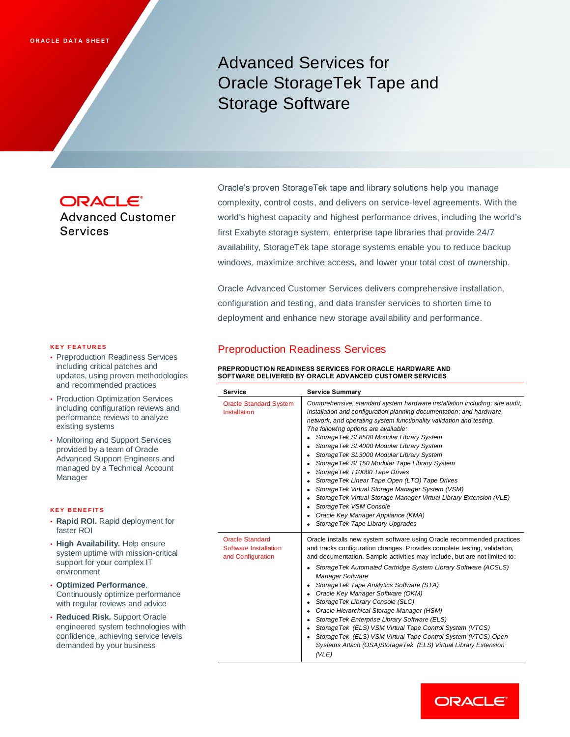# Advanced Services for Oracle StorageTek Tape and Storage Software

**ORACLE® Advanced Customer Services** 

Oracle's proven StorageTek tape and library solutions help you manage complexity, control costs, and delivers on service-level agreements. With the world's highest capacity and highest performance drives, including the world's first Exabyte storage system, enterprise tape libraries that provide 24/7 availability, StorageTek tape storage systems enable you to reduce backup windows, maximize archive access, and lower your total cost of ownership.

Oracle Advanced Customer Services delivers comprehensive installation, configuration and testing, and data transfer services to shorten time to deployment and enhance new storage availability and performance.

#### **K E Y F E A T U R E S**

- Preproduction Readiness Services including critical patches and updates, using proven methodologies and recommended practices
- Production Optimization Services including configuration reviews and performance reviews to analyze existing systems
- Monitoring and Support Services provided by a team of Oracle Advanced Support Engineers and managed by a Technical Account Manager

#### **K E Y B E N E F IT S**

- **Rapid ROI.** Rapid deployment for faster ROI
- **High Availability.** Help ensure system uptime with mission-critical support for your complex IT environment
- **Optimized Performance**. Continuously optimize performance with regular reviews and advice
- **Reduced Risk.** Support Oracle engineered system technologies with confidence, achieving service levels demanded by your business

## Preproduction Readiness Services

**PREPRODUCTION READINESS SERVICES FOR ORACLE HARDWARE AND SOFTWARE DELIVERED BY ORACLE ADVANCED CUSTOMER SERVICES**

| <b>Service</b>                                                       | <b>Service Summary</b>                                                                                                                                                                                                                                                                                                                                                                                                                                                                                                                                                                                                                                                                                                                                                                                                          |
|----------------------------------------------------------------------|---------------------------------------------------------------------------------------------------------------------------------------------------------------------------------------------------------------------------------------------------------------------------------------------------------------------------------------------------------------------------------------------------------------------------------------------------------------------------------------------------------------------------------------------------------------------------------------------------------------------------------------------------------------------------------------------------------------------------------------------------------------------------------------------------------------------------------|
| <b>Oracle Standard System</b><br>Installation                        | Comprehensive, standard system hardware installation including: site audit;<br>installation and configuration planning documentation; and hardware,<br>network, and operating system functionality validation and testing.<br>The following options are available:<br>Storage Tek SL8500 Modular Library System<br>٠<br>Storage Tek SL4000 Modular Library System<br>٠<br>Storage Tek SL3000 Modular Library System<br>٠<br>Storage Tek SL150 Modular Tape Library System<br>٠<br>StorageTek T10000 Tape Drives<br>٠<br>Storage Tek Linear Tape Open (LTO) Tape Drives<br>٠<br>Storage Tek Virtual Storage Manager System (VSM)<br>٠<br>Storage Tek Virtual Storage Manager Virtual Library Extension (VLE)<br>٠<br>StorageTek VSM Console<br>٠<br>Oracle Key Manager Appliance (KMA)<br>٠<br>Storage Tek Tape Library Upgrades |
| <b>Oracle Standard</b><br>Software Installation<br>and Configuration | Oracle installs new system software using Oracle recommended practices<br>and tracks configuration changes. Provides complete testing, validation,<br>and documentation. Sample activities may include, but are not limited to:<br>Storage Tek Automated Cartridge System Library Software (ACSLS)<br>٠<br><b>Manager Software</b><br>Storage Tek Tape Analytics Software (STA)<br>٠<br>Oracle Key Manager Software (OKM)<br>٠<br>StorageTek Library Console (SLC)<br>٠<br>Oracle Hierarchical Storage Manager (HSM)<br>٠<br>Storage Tek Enterprise Library Software (ELS)<br>٠<br>StorageTek (ELS) VSM Virtual Tape Control System (VTCS)<br>٠<br>StorageTek (ELS) VSM Virtual Tape Control System (VTCS)-Open<br>Systems Attach (OSA)StorageTek (ELS) Virtual Library Extension<br>(VLE)                                      |

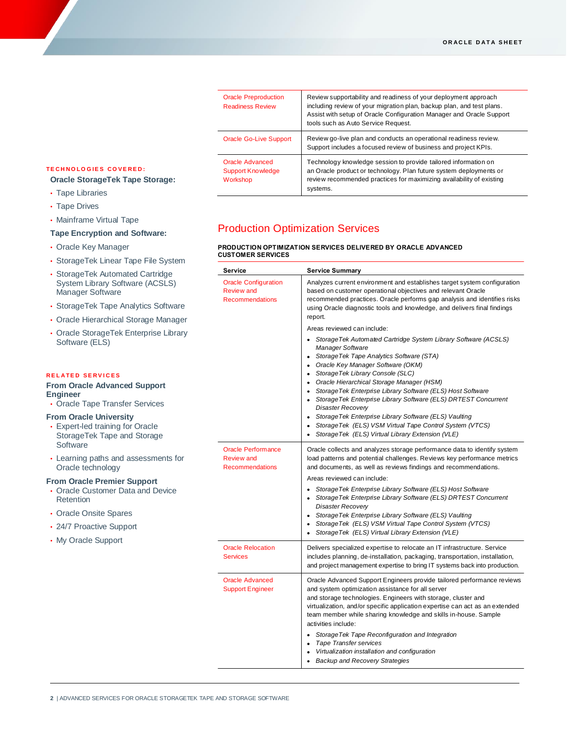| <b>Oracle Preproduction</b><br><b>Readiness Review</b>  | Review supportability and readiness of your deployment approach<br>including review of your migration plan, backup plan, and test plans.<br>Assist with setup of Oracle Configuration Manager and Oracle Support<br>tools such as Auto Service Request. |
|---------------------------------------------------------|---------------------------------------------------------------------------------------------------------------------------------------------------------------------------------------------------------------------------------------------------------|
| Oracle Go-Live Support                                  | Review go-live plan and conducts an operational readiness review.<br>Support includes a focused review of business and project KPIs.                                                                                                                    |
| Oracle Advanced<br><b>Support Knowledge</b><br>Workshop | Technology knowledge session to provide tailored information on<br>an Oracle product or technology. Plan future system deployments or<br>review recommended practices for maximizing availability of existing<br>systems.                               |

#### **T E C H N O L O G IE S C O V E R E D :**

- **Oracle StorageTek Tape Storage:**
- Tape Libraries
- Tape Drives
- Mainframe Virtual Tape

#### **Tape Encryption and Software:**

- Oracle Key Manager
- StorageTek Linear Tape File System
- StorageTek Automated Cartridge System Library Software (ACSLS) Manager Software
- StorageTek Tape Analytics Software
- Oracle Hierarchical Storage Manager
- Oracle StorageTek Enterprise Library Software (ELS)

#### **R E L A T E D S E R V I C E S**

#### **From Oracle Advanced Support Engineer**

• Oracle Tape Transfer Services

#### **From Oracle University**

- Expert-led training for Oracle StorageTek Tape and Storage **Software**
- Learning paths and assessments for Oracle technology

#### **From Oracle Premier Support**

- Oracle Customer Data and Device **Retention**
- Oracle Onsite Spares
- 24/7 Proactive Support
- My Oracle Support

# Production Optimization Services

# **PRODUCTION OPTIMIZATION SERVICES DELIVERED BY ORACLE ADVANCED CUSTOMER SERVICES**

| Service                                                                    | <b>Service Summary</b>                                                                                                                                                                                                                                                                                                                                                                                                                                                                                                                                                                                                                     |
|----------------------------------------------------------------------------|--------------------------------------------------------------------------------------------------------------------------------------------------------------------------------------------------------------------------------------------------------------------------------------------------------------------------------------------------------------------------------------------------------------------------------------------------------------------------------------------------------------------------------------------------------------------------------------------------------------------------------------------|
| <b>Oracle Configuration</b><br><b>Review</b> and<br><b>Recommendations</b> | Analyzes current environment and establishes target system configuration<br>based on customer operational objectives and relevant Oracle<br>recommended practices. Oracle performs gap analysis and identifies risks<br>using Oracle diagnostic tools and knowledge, and delivers final findings<br>report.                                                                                                                                                                                                                                                                                                                                |
|                                                                            | Areas reviewed can include:                                                                                                                                                                                                                                                                                                                                                                                                                                                                                                                                                                                                                |
|                                                                            | Storage Tek Automated Cartridge System Library Software (ACSLS)<br>Manager Software<br>Storage Tek Tape Analytics Software (STA)<br>٠<br>Oracle Key Manager Software (OKM)<br>٠<br>Storage Tek Library Console (SLC)<br>$\bullet$<br>Oracle Hierarchical Storage Manager (HSM)<br>٠<br>• Storage Tek Enterprise Library Software (ELS) Host Software<br>StorageTek Enterprise Library Software (ELS) DRTEST Concurrent<br>$\bullet$<br>Disaster Recovery<br>StorageTek Enterprise Library Software (ELS) Vaulting<br>٠<br>StorageTek (ELS) VSM Virtual Tape Control System (VTCS)<br>StorageTek (ELS) Virtual Library Extension (VLE)<br>٠ |
| <b>Oracle Performance</b><br><b>Review and</b><br><b>Recommendations</b>   | Oracle collects and analyzes storage performance data to identify system<br>load patterns and potential challenges. Reviews key performance metrics<br>and documents, as well as reviews findings and recommendations.<br>Areas reviewed can include:                                                                                                                                                                                                                                                                                                                                                                                      |
|                                                                            | Storage Tek Enterprise Library Software (ELS) Host Software<br>$\bullet$<br>Storage Tek Enterprise Library Software (ELS) DRTEST Concurrent<br>٠<br>Disaster Recovery<br>StorageTek Enterprise Library Software (ELS) Vaulting<br>$\bullet$<br>StorageTek (ELS) VSM Virtual Tape Control System (VTCS)<br>$\bullet$<br>StorageTek (ELS) Virtual Library Extension (VLE)                                                                                                                                                                                                                                                                    |
| <b>Oracle Relocation</b><br><b>Services</b>                                | Delivers specialized expertise to relocate an IT infrastructure. Service<br>includes planning, de-installation, packaging, transportation, installation,<br>and project management expertise to bring IT systems back into production.                                                                                                                                                                                                                                                                                                                                                                                                     |
| <b>Oracle Advanced</b><br><b>Support Engineer</b>                          | Oracle Advanced Support Engineers provide tailored performance reviews<br>and system optimization assistance for all server<br>and storage technologies. Engineers with storage, cluster and<br>virtualization, and/or specific application expertise can act as an extended<br>team member while sharing knowledge and skills in-house. Sample<br>activities include:<br>Storage Tek Tape Reconfiguration and Integration<br>$\bullet$<br>Tape Transfer services<br>٠<br>Virtualization installation and configuration<br>$\bullet$<br><b>Backup and Recovery Strategies</b>                                                              |